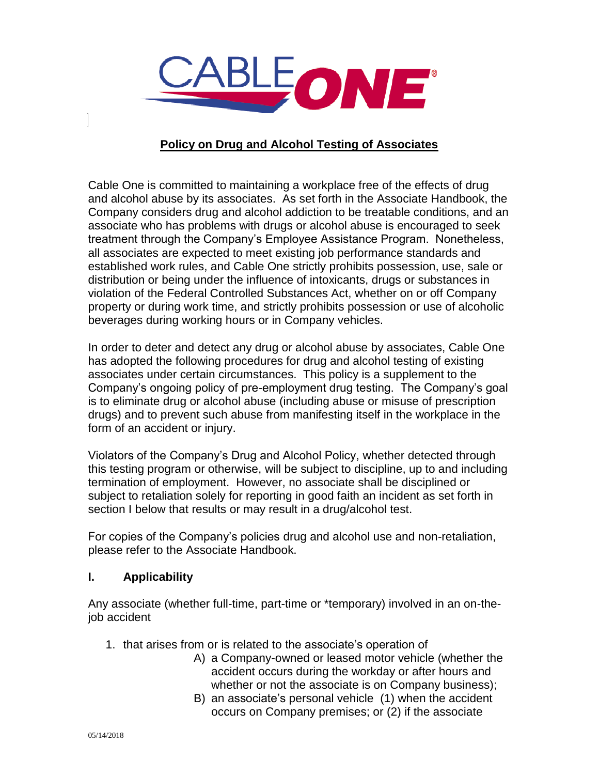

# **Policy on Drug and Alcohol Testing of Associates**

Cable One is committed to maintaining a workplace free of the effects of drug and alcohol abuse by its associates. As set forth in the Associate Handbook, the Company considers drug and alcohol addiction to be treatable conditions, and an associate who has problems with drugs or alcohol abuse is encouraged to seek treatment through the Company's Employee Assistance Program. Nonetheless, all associates are expected to meet existing job performance standards and established work rules, and Cable One strictly prohibits possession, use, sale or distribution or being under the influence of intoxicants, drugs or substances in violation of the Federal Controlled Substances Act, whether on or off Company property or during work time, and strictly prohibits possession or use of alcoholic beverages during working hours or in Company vehicles.

In order to deter and detect any drug or alcohol abuse by associates, Cable One has adopted the following procedures for drug and alcohol testing of existing associates under certain circumstances. This policy is a supplement to the Company's ongoing policy of pre-employment drug testing. The Company's goal is to eliminate drug or alcohol abuse (including abuse or misuse of prescription drugs) and to prevent such abuse from manifesting itself in the workplace in the form of an accident or injury.

Violators of the Company's Drug and Alcohol Policy, whether detected through this testing program or otherwise, will be subject to discipline, up to and including termination of employment. However, no associate shall be disciplined or subject to retaliation solely for reporting in good faith an incident as set forth in section I below that results or may result in a drug/alcohol test.

For copies of the Company's policies drug and alcohol use and non-retaliation, please refer to the Associate Handbook.

### **I. Applicability**

Any associate (whether full-time, part-time or \*temporary) involved in an on-thejob accident

- 1. that arises from or is related to the associate's operation of
	- A) a Company-owned or leased motor vehicle (whether the accident occurs during the workday or after hours and whether or not the associate is on Company business);
	- B) an associate's personal vehicle (1) when the accident occurs on Company premises; or (2) if the associate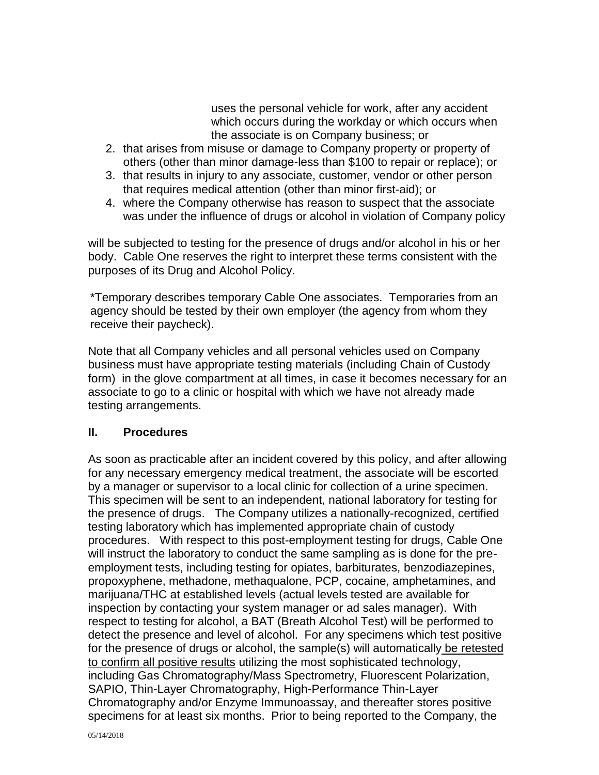uses the personal vehicle for work, after any accident which occurs during the workday or which occurs when the associate is on Company business; or

- 2. that arises from misuse or damage to Company property or property of others (other than minor damage-less than \$100 to repair or replace); or
- 3. that results in injury to any associate, customer, vendor or other person that requires medical attention (other than minor first-aid); or
- 4. where the Company otherwise has reason to suspect that the associate was under the influence of drugs or alcohol in violation of Company policy

will be subjected to testing for the presence of drugs and/or alcohol in his or her body. Cable One reserves the right to interpret these terms consistent with the purposes of its Drug and Alcohol Policy.

\*Temporary describes temporary Cable One associates. Temporaries from an agency should be tested by their own employer (the agency from whom they receive their paycheck).

Note that all Company vehicles and all personal vehicles used on Company business must have appropriate testing materials (including Chain of Custody form) in the glove compartment at all times, in case it becomes necessary for an associate to go to a clinic or hospital with which we have not already made testing arrangements.

### **II. Procedures**

As soon as practicable after an incident covered by this policy, and after allowing for any necessary emergency medical treatment, the associate will be escorted by a manager or supervisor to a local clinic for collection of a urine specimen. This specimen will be sent to an independent, national laboratory for testing for the presence of drugs. The Company utilizes a nationally-recognized, certified testing laboratory which has implemented appropriate chain of custody procedures. With respect to this post-employment testing for drugs, Cable One will instruct the laboratory to conduct the same sampling as is done for the preemployment tests, including testing for opiates, barbiturates, benzodiazepines, propoxyphene, methadone, methaqualone, PCP, cocaine, amphetamines, and marijuana/THC at established levels (actual levels tested are available for inspection by contacting your system manager or ad sales manager). With respect to testing for alcohol, a BAT (Breath Alcohol Test) will be performed to detect the presence and level of alcohol. For any specimens which test positive for the presence of drugs or alcohol, the sample(s) will automatically be retested to confirm all positive results utilizing the most sophisticated technology, including Gas Chromatography/Mass Spectrometry, Fluorescent Polarization, SAPIO, Thin-Layer Chromatography, High-Performance Thin-Layer Chromatography and/or Enzyme Immunoassay, and thereafter stores positive specimens for at least six months. Prior to being reported to the Company, the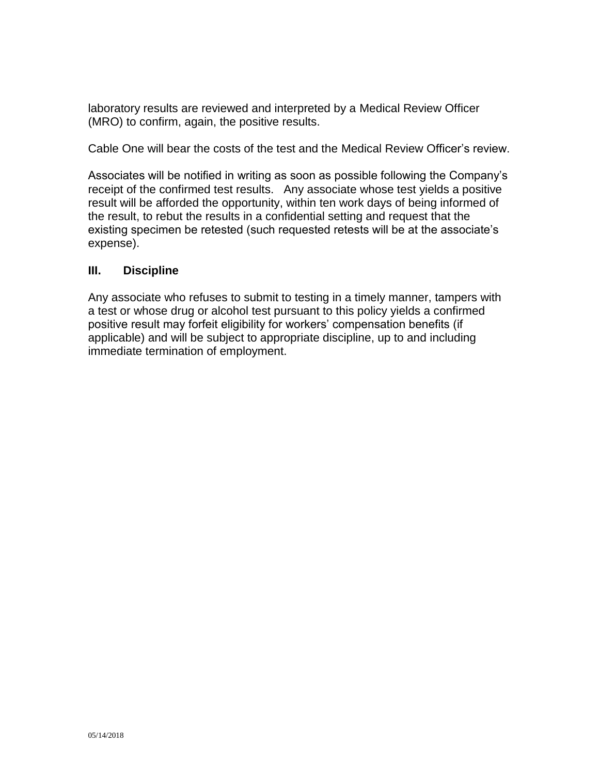laboratory results are reviewed and interpreted by a Medical Review Officer (MRO) to confirm, again, the positive results.

Cable One will bear the costs of the test and the Medical Review Officer's review.

Associates will be notified in writing as soon as possible following the Company's receipt of the confirmed test results. Any associate whose test yields a positive result will be afforded the opportunity, within ten work days of being informed of the result, to rebut the results in a confidential setting and request that the existing specimen be retested (such requested retests will be at the associate's expense).

### **III. Discipline**

Any associate who refuses to submit to testing in a timely manner, tampers with a test or whose drug or alcohol test pursuant to this policy yields a confirmed positive result may forfeit eligibility for workers' compensation benefits (if applicable) and will be subject to appropriate discipline, up to and including immediate termination of employment.